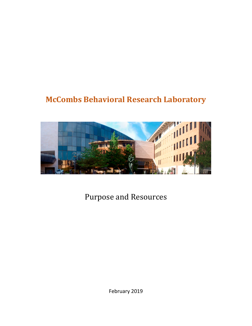# **McCombs Behavioral Research Laboratory**



Purpose and Resources

February 2019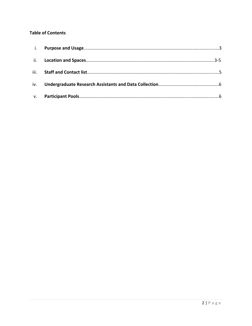#### **Table of Contents**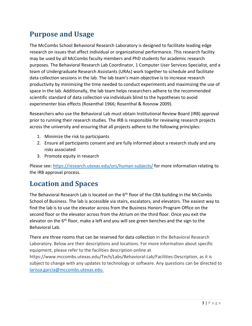## **Purpose and Usage**

The McCombs School Behavioral Research Laboratory is designed to facilitate leading edge research on issues that affect individual or organizational performance. This research facility may be used by all McCombs faculty members and PhD students for academic research purposes. The Behavioral Research Lab Coordinator, 1 Computer User Services Specialist, and a team of Undergraduate Research Assistants (URAs) work together to schedule and facilitate data collection sessions in the lab. The lab team's main objective is to increase research productivity by minimizing the time needed to conduct experiments and maximizing the use of space in the lab. Additionally, the lab team helps researchers adhere to the recommended scientific standard of data collection via individuals blind to the hypotheses to avoid experimenter bias effects (Rosenthal 1966; Rosenthal & Rosnow 2009).

Researchers who use the Behavioral Lab must obtain Institutional Review Board (IRB) approval prior to running their research studies. The IRB is responsible for reviewing research projects across the university and ensuring that all projects adhere to the following principles:

- 1. Minimize the risk to participants
- 2. Ensure all participants consent and are fully informed about a research study and any risks associated
- 3. Promote equity in research

Please see:<https://research.utexas.edu/ors/human-subjects/> for more information relating to the IRB approval process.

### **Location and Spaces**

The Behavioral Research Lab is located on the  $6<sup>th</sup>$  floor of the CBA building in the McCombs School of Business. The lab is accessible via stairs, escalators, and elevators. The easiest way to find the lab is to use the elevator across from the Business Honors Program Office on the second floor or the elevator across from the Atrium on the third floor. Once you exit the elevator on the 6<sup>th</sup> floor, make a left and you will see green benches and the sign to the Behavioral Lab.

There are three rooms that can be reserved for data collection in the Behavioral Research Laboratory. Below are their descriptions and locations. For more information about specific equipment, please refer to the facilities description online at

https://www.mccombs.utexas.edu/Tech/Labs/Behavioral-Lab/Facilities-Description, as it is subject to change with any updates to technology or software. Any questions can be directed to larissa.garcia@mccombs.utexas.edu.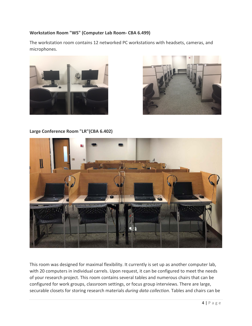#### **Workstation Room "WS" (Computer Lab Room- CBA 6.499)**

The workstation room contains 12 networked PC workstations with headsets, cameras, and microphones.





**Large Conference Room "LR"(CBA 6.402)**



This room was designed for maximal flexibility. It currently is set up as another computer lab, with 20 computers in individual carrels. Upon request, it can be configured to meet the needs of your research project. This room contains several tables and numerous chairs that can be configured for work groups, classroom settings, or focus group interviews. There are large, securable closets for storing research materials *during data collection*. Tables and chairs can be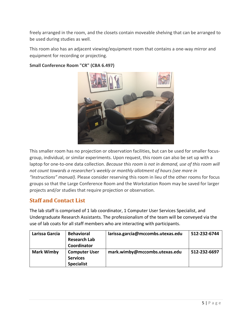freely arranged in the room, and the closets contain moveable shelving that can be arranged to be used during studies as well.

This room also has an adjacent viewing/equipment room that contains a one-way mirror and equipment for recording or projecting.



#### **Small Conference Room "CR" (CBA 6.497)**

This smaller room has no projection or observation facilities, but can be used for smaller focusgroup, individual, or similar experiments. Upon request, this room can also be set up with a laptop for one-to-one data collection. *Because this room is not in demand, use of this room will not count towards a researcher's weekly or monthly allotment of hours (see more in "Instructions" manual)*. Please consider reserving this room in lieu of the other rooms for focus groups so that the Large Conference Room and the Workstation Room may be saved for larger projects and/or studies that require projection or observation.

#### **Staff and Contact List**

The lab staff is comprised of 1 lab coordinator, 1 Computer User Services Specialist, and Undergraduate Research Assistants. The professionalism of the team will be conveyed via the use of lab coats for all staff members who are interacting with participants.

| Larissa Garcia    | <b>Behavioral</b>    | larissa.garcia@mccombs.utexas.edu | 512-232-6744 |
|-------------------|----------------------|-----------------------------------|--------------|
|                   | <b>Research Lab</b>  |                                   |              |
|                   | Coordinator          |                                   |              |
| <b>Mark Wimby</b> | <b>Computer User</b> | mark.wimby@mccombs.utexas.edu     | 512-232-6697 |
|                   | <b>Services</b>      |                                   |              |
|                   | <b>Specialist</b>    |                                   |              |